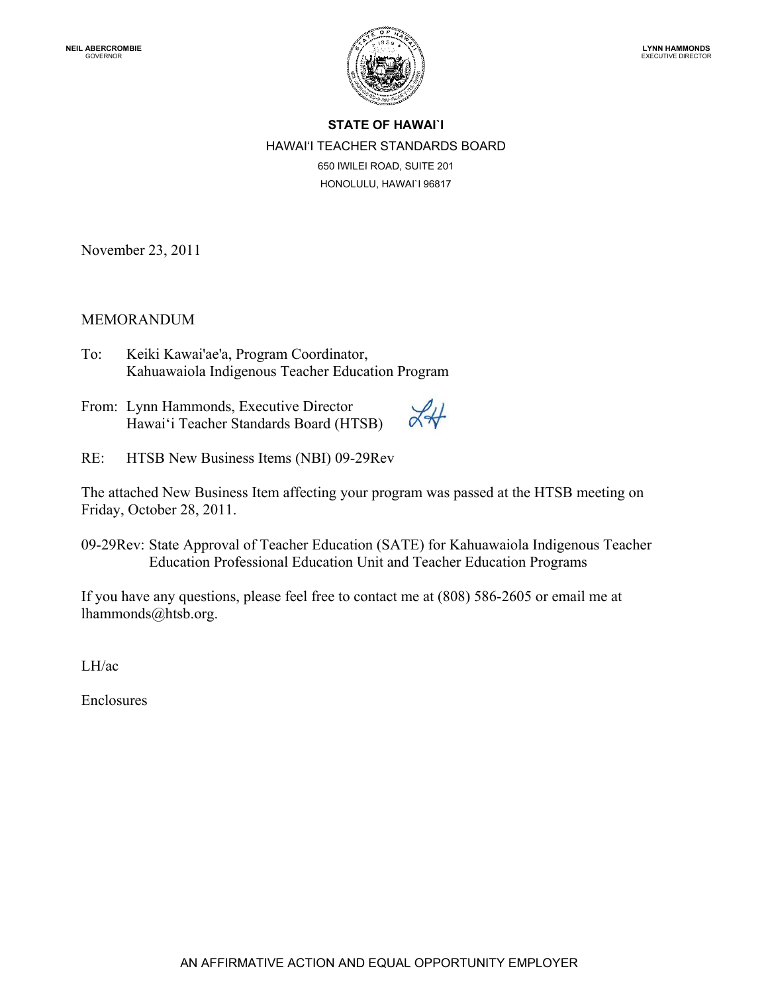

## **STATE OF HAWAI`I** HAWAI'I TEACHER STANDARDS BOARD 650 IWILEI ROAD, SUITE 201 HONOLULU, HAWAI`I 96817

November 23, 2011

## MEMORANDUM

- Kahuawaiola Indigenous Teacher Education Program<br>From: Lynn Hammonds, Executive Director  $\mathcal{L}_U$ To: Keiki Kawai'ae'a, Program Coordinator,
- Hawai'i Teacher Standards Board (HTSB)
- RE: HTSB New Business Items (NBI) 09-29Rev

The attached New Business Item affecting your program was passed at the HTSB meeting on Friday, October 28, 2011.

09-29Rev: State Approval of Teacher Education (SATE) for Kahuawaiola Indigenous Teacher Education Professional Education Unit and Teacher Education Programs

If you have any questions, please feel free to contact me at (808) 586-2605 or email me at [lhammonds@htsb.org.](mailto:lhammonds@htsb.org)

LH/ac

Enclosures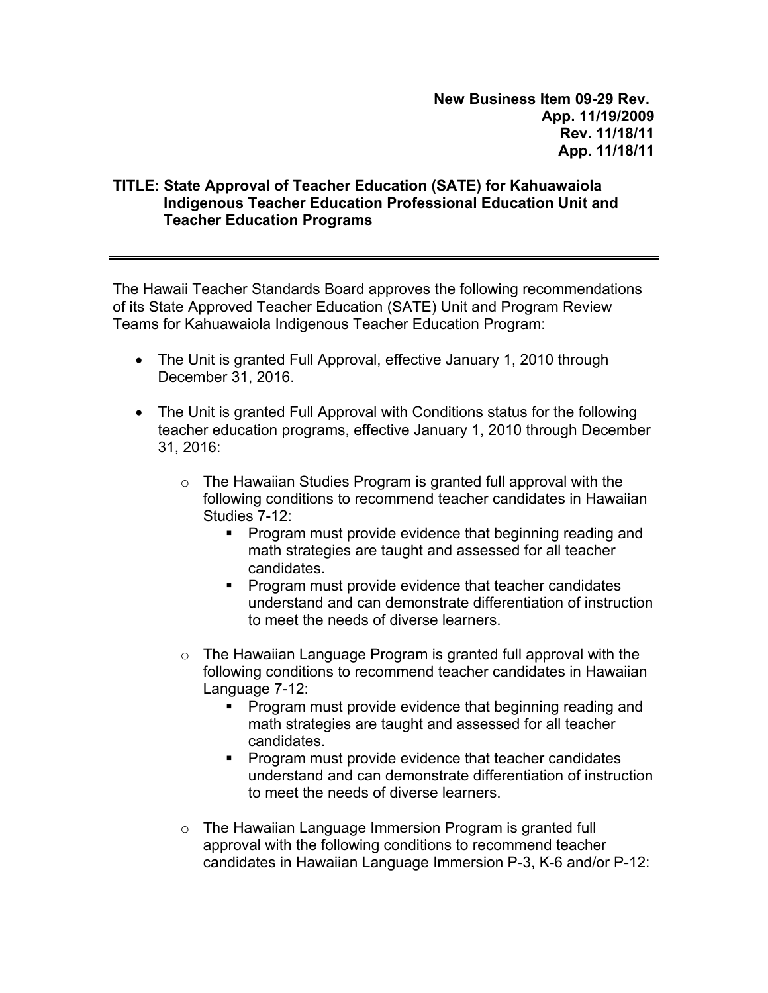**New Business Item 09-29 Rev. App. 11/19/2009 Rev. 11/18/11 App. 11/18/11** 

## **TITLE: State Approval of Teacher Education (SATE) for Kahuawaiola Indigenous Teacher Education Professional Education Unit and Teacher Education Programs**

The Hawaii Teacher Standards Board approves the following recommendations of its State Approved Teacher Education (SATE) Unit and Program Review Teams for Kahuawaiola Indigenous Teacher Education Program:

- The Unit is granted Full Approval, effective January 1, 2010 through December 31, 2016.
- The Unit is granted Full Approval with Conditions status for the following teacher education programs, effective January 1, 2010 through December 31, 2016:
	- $\circ$  The Hawaiian Studies Program is granted full approval with the following conditions to recommend teacher candidates in Hawaiian Studies 7-12:
		- **Program must provide evidence that beginning reading and** math strategies are taught and assessed for all teacher candidates.
		- **Program must provide evidence that teacher candidates** understand and can demonstrate differentiation of instruction to meet the needs of diverse learners.
	- o The Hawaiian Language Program is granted full approval with the following conditions to recommend teacher candidates in Hawaiian Language 7-12:
		- **Program must provide evidence that beginning reading and** math strategies are taught and assessed for all teacher candidates.
		- **Program must provide evidence that teacher candidates** understand and can demonstrate differentiation of instruction to meet the needs of diverse learners.
	- o The Hawaiian Language Immersion Program is granted full approval with the following conditions to recommend teacher candidates in Hawaiian Language Immersion P-3, K-6 and/or P-12: